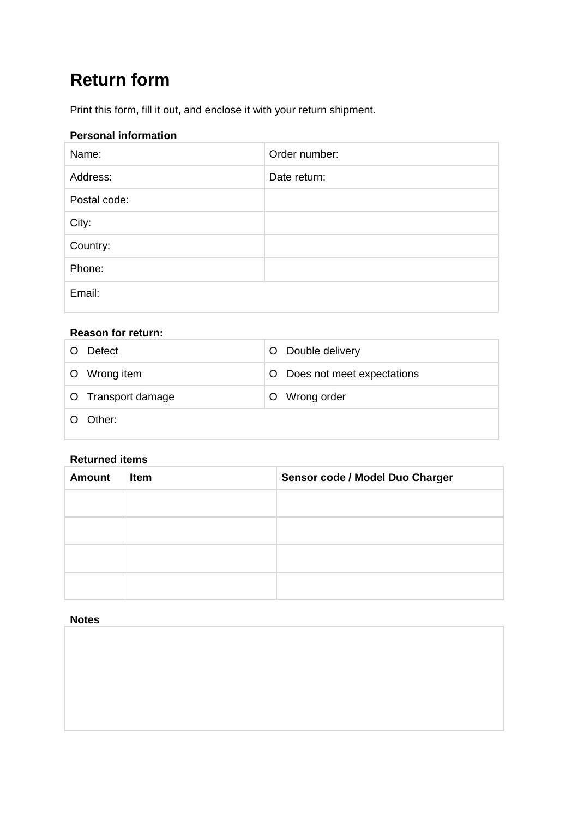# **Return form**

Print this form, fill it out, and enclose it with your return shipment.

# **Personal information**

| Name:        | Order number: |
|--------------|---------------|
| Address:     | Date return:  |
| Postal code: |               |
| City:        |               |
| Country:     |               |
| Phone:       |               |
| Email:       |               |

# **Reason for return:**

| Defect             | O Double delivery             |
|--------------------|-------------------------------|
| O Wrong item       | O Does not meet expectations  |
| O Transport damage | Wrong order<br>$\overline{O}$ |
| Other:             |                               |

### **Returned items**

| <b>Amount</b> | Item | Sensor code / Model Duo Charger |
|---------------|------|---------------------------------|
|               |      |                                 |
|               |      |                                 |
|               |      |                                 |
|               |      |                                 |
|               |      |                                 |

#### **Notes**